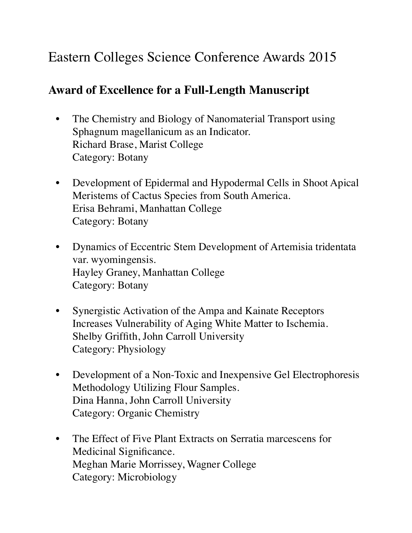## Eastern Colleges Science Conference Awards 2015

## **Award of Excellence for a Full-Length Manuscript**

- The Chemistry and Biology of Nanomaterial Transport using Sphagnum magellanicum as an Indicator. Richard Brase, Marist College Category: Botany
- Development of Epidermal and Hypodermal Cells in Shoot Apical Meristems of Cactus Species from South America. Erisa Behrami, Manhattan College Category: Botany
- Dynamics of Eccentric Stem Development of Artemisia tridentata var. wyomingensis. Hayley Graney, Manhattan College Category: Botany
- Synergistic Activation of the Ampa and Kainate Receptors Increases Vulnerability of Aging White Matter to Ischemia. Shelby Griffith, John Carroll University Category: Physiology
- Development of a Non-Toxic and Inexpensive Gel Electrophoresis Methodology Utilizing Flour Samples. Dina Hanna, John Carroll University Category: Organic Chemistry
- The Effect of Five Plant Extracts on Serratia marcescens for Medicinal Significance. Meghan Marie Morrissey, Wagner College Category: Microbiology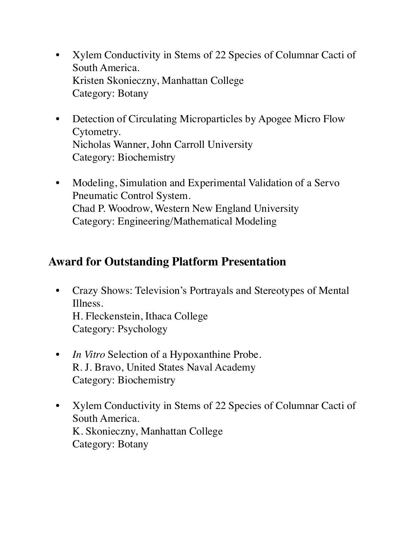- Xylem Conductivity in Stems of 22 Species of Columnar Cacti of South America. Kristen Skonieczny, Manhattan College Category: Botany
- Detection of Circulating Microparticles by Apogee Micro Flow Cytometry. Nicholas Wanner, John Carroll University Category: Biochemistry
- Modeling, Simulation and Experimental Validation of a Servo Pneumatic Control System. Chad P. Woodrow, Western New England University Category: Engineering/Mathematical Modeling

## **Award for Outstanding Platform Presentation**

- Crazy Shows: Television's Portrayals and Stereotypes of Mental Illness. H. Fleckenstein, Ithaca College Category: Psychology
- *In Vitro* Selection of a Hypoxanthine Probe. R. J. Bravo, United States Naval Academy Category: Biochemistry
- Xylem Conductivity in Stems of 22 Species of Columnar Cacti of South America. K. Skonieczny, Manhattan College Category: Botany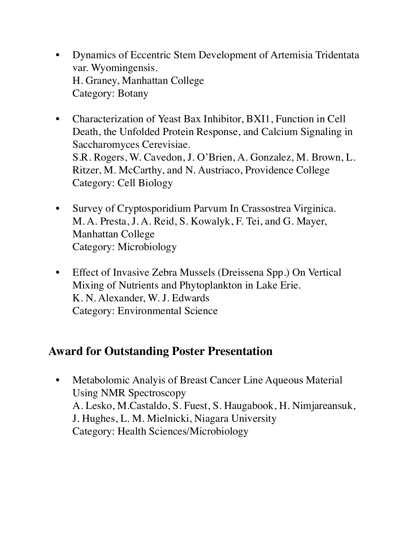- Dynamics of Eccentric Stem Development of Artemisia Tridentata var. Wyomingensis. H. Graney, Manhattan College Category: Botany
- Characterization of Yeast Bax Inhibitor, BXI1, Function in Cell Death, the Unfolded Protein Response, and Calcium Signaling in Saccharomyces Cerevisiae. S.R. Rogers, W. Cavedon, J. O'Brien, A. Gonzalez, M. Brown, L. Ritzer, M. McCarthy, and N. Austriaco, Providence College Category: Cell Biology
- Survey of Cryptosporidium Parvum In Crassostrea Virginica. M. A. Presta, J. A. Reid, S. Kowalyk, F. Tei, and G. Mayer, Manhattan College Category: Microbiology
- Effect of Invasive Zebra Mussels (Dreissena Spp.) On Vertical Mixing of Nutrients and Phytoplankton in Lake Erie. K. N. Alexander, W. J. Edwards Category: Environmental Science

## **Award for Outstanding Poster Presentation**

• Metabolomic Analyis of Breast Cancer Line Aqueous Material Using NMR Spectroscopy A. Lesko, M.Castaldo, S. Fuest, S. Haugabook, H. Nimjareansuk, J. Hughes, L. M. Mielnicki, Niagara University Category: Health Sciences/Microbiology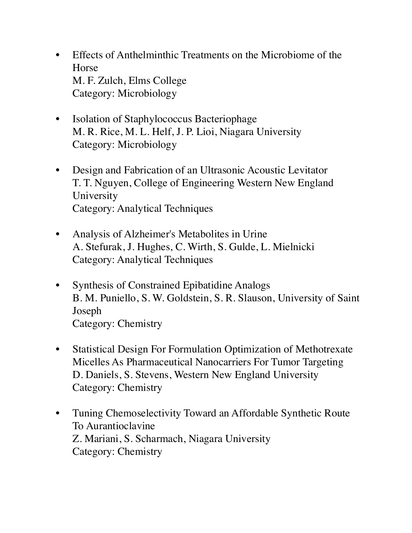- Effects of Anthelminthic Treatments on the Microbiome of the Horse M. F. Zulch, Elms College Category: Microbiology
- Isolation of Staphylococcus Bacteriophage M. R. Rice, M. L. Helf, J. P. Lioi, Niagara University Category: Microbiology
- Design and Fabrication of an Ultrasonic Acoustic Levitator T. T. Nguyen, College of Engineering Western New England University Category: Analytical Techniques
- Analysis of Alzheimer's Metabolites in Urine A. Stefurak, J. Hughes, C. Wirth, S. Gulde, L. Mielnicki Category: Analytical Techniques
- Synthesis of Constrained Epibatidine Analogs B. M. Puniello, S. W. Goldstein, S. R. Slauson, University of Saint Joseph Category: Chemistry
- Statistical Design For Formulation Optimization of Methotrexate Micelles As Pharmaceutical Nanocarriers For Tumor Targeting D. Daniels, S. Stevens, Western New England University Category: Chemistry
- Tuning Chemoselectivity Toward an Affordable Synthetic Route To Aurantioclavine Z. Mariani, S. Scharmach, Niagara University Category: Chemistry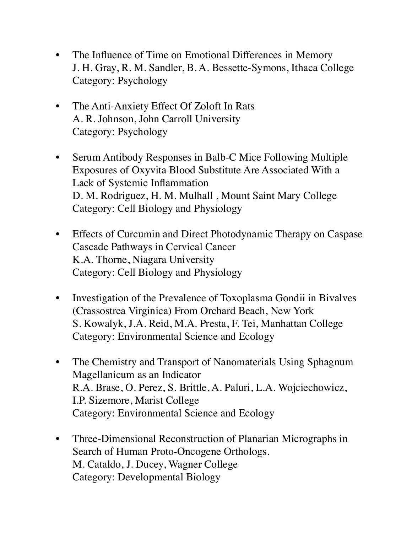- The Influence of Time on Emotional Differences in Memory J. H. Gray, R. M. Sandler, B. A. Bessette-Symons, Ithaca College Category: Psychology
- The Anti-Anxiety Effect Of Zoloft In Rats A. R. Johnson, John Carroll University Category: Psychology
- Serum Antibody Responses in Balb-C Mice Following Multiple Exposures of Oxyvita Blood Substitute Are Associated With a Lack of Systemic Inflammation D. M. Rodriguez, H. M. Mulhall , Mount Saint Mary College Category: Cell Biology and Physiology
- Effects of Curcumin and Direct Photodynamic Therapy on Caspase Cascade Pathways in Cervical Cancer K.A. Thorne, Niagara University Category: Cell Biology and Physiology
- Investigation of the Prevalence of Toxoplasma Gondii in Bivalves (Crassostrea Virginica) From Orchard Beach, New York S. Kowalyk, J.A. Reid, M.A. Presta, F. Tei, Manhattan College Category: Environmental Science and Ecology
- The Chemistry and Transport of Nanomaterials Using Sphagnum Magellanicum as an Indicator R.A. Brase, O. Perez, S. Brittle, A. Paluri, L.A. Wojciechowicz, I.P. Sizemore, Marist College Category: Environmental Science and Ecology
- Three-Dimensional Reconstruction of Planarian Micrographs in Search of Human Proto-Oncogene Orthologs. M. Cataldo, J. Ducey, Wagner College Category: Developmental Biology